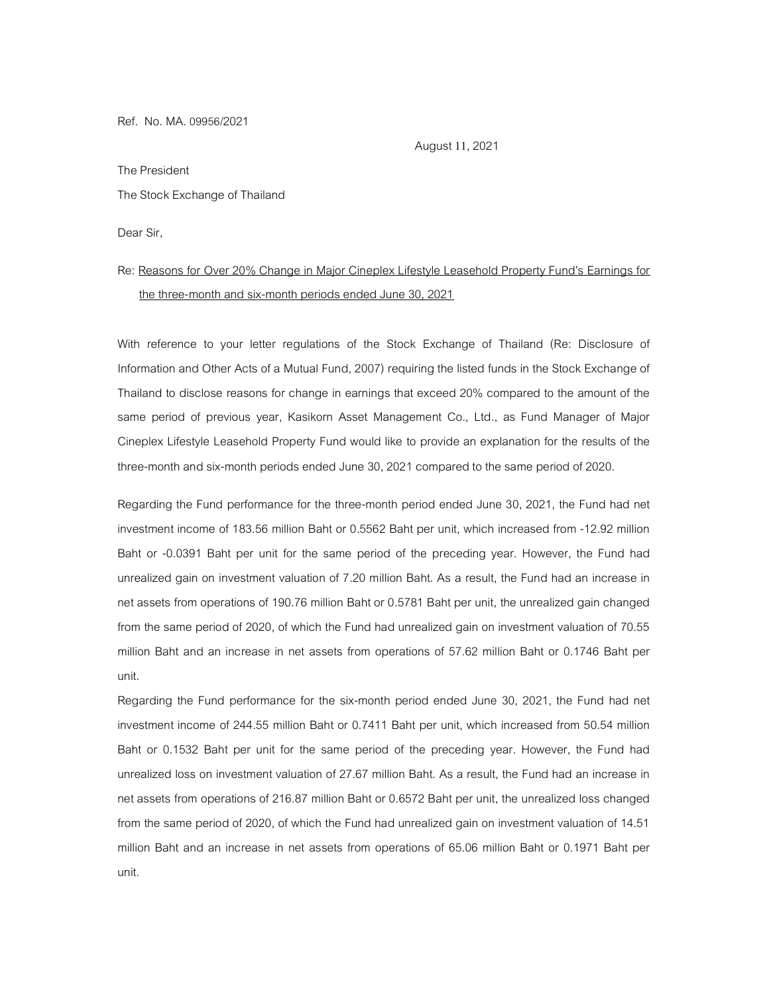Ref. No. MA. 09956/2021

August 11, 2021

The President

## The Stock Exchange of Thailand

Dear Sir,

## Re: Reasons for Over 20% Change in Major Cineplex Lifestyle Leasehold Property Fund's Earnings for the three-month and six-month periods ended June 30, 2021

With reference to your letter regulations of the Stock Exchange of Thailand (Re: Disclosure of Information and Other Acts of a Mutual Fund, 2007) requiring the listed funds in the Stock Exchange of Thailand to disclose reasons for change in earnings that exceed 20% compared to the amount of the same period of previous year, Kasikorn Asset Management Co., Ltd., as Fund Manager of Major Cineplex Lifestyle Leasehold Property Fund would like to provide an explanation for the results of the three-month and six-month periods ended June 30, 2021 compared to the same period of 2020.

Regarding the Fund performance for the three-month period ended June 30, 2021, the Fund had net investment income of 183.56 million Baht or 0.5562 Baht per unit, which increased from -12.92 million Baht or -0.0391 Baht per unit for the same period of the preceding year. However, the Fund had unrealized gain on investment valuation of 7.20 million Baht. As a result, the Fund had an increase in net assets from operations of 190.76 million Baht or 0.5781 Baht per unit, the unrealized gain changed from the same period of 2020, of which the Fund had unrealized gain on investment valuation of 70.55 million Baht and an increase in net assets from operations of 57.62 million Baht or 0.1746 Baht per unit.

Regarding the Fund performance for the six-month period ended June 30, 2021, the Fund had net investment income of 244.55 million Baht or 0.7411 Baht per unit, which increased from 50.54 million Baht or 0.1532 Baht per unit for the same period of the preceding year. However, the Fund had unrealized loss on investment valuation of 27.67 million Baht. As a result, the Fund had an increase in net assets from operations of 216.87 million Baht or 0.6572 Baht per unit, the unrealized loss changed from the same period of 2020, of which the Fund had unrealized gain on investment valuation of 14.51 million Baht and an increase in net assets from operations of 65.06 million Baht or 0.1971 Baht per unit.